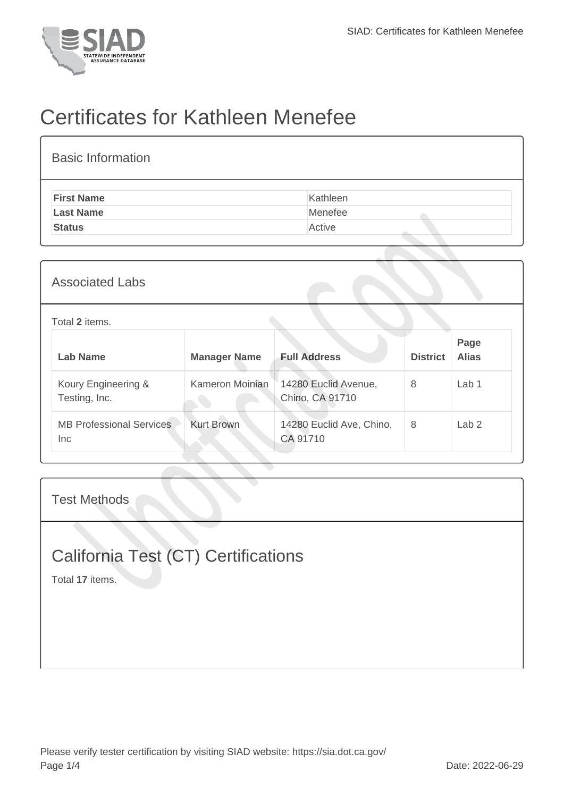

## Certificates for Kathleen Menefee

| <b>Basic Information</b> |          |
|--------------------------|----------|
| <b>First Name</b>        | Kathleen |
| <b>Last Name</b>         | Menefee  |
| <b>Status</b>            | Active   |
|                          |          |

## Total **2** items.

| Lab Name                                | <b>Manager Name</b> | <b>Full Address</b>                     | <b>District</b> | Page<br><b>Alias</b> |
|-----------------------------------------|---------------------|-----------------------------------------|-----------------|----------------------|
| Koury Engineering &<br>Testing, Inc.    | Kameron Moinian     | 14280 Euclid Avenue,<br>Chino, CA 91710 | 8               | Lab <sub>1</sub>     |
| <b>MB Professional Services</b><br>Inc. | <b>Kurt Brown</b>   | 14280 Euclid Ave, Chino,<br>CA 91710    | 8               | Lab <sub>2</sub>     |

Test Methods

## California Test (CT) Certifications

Total **17** items.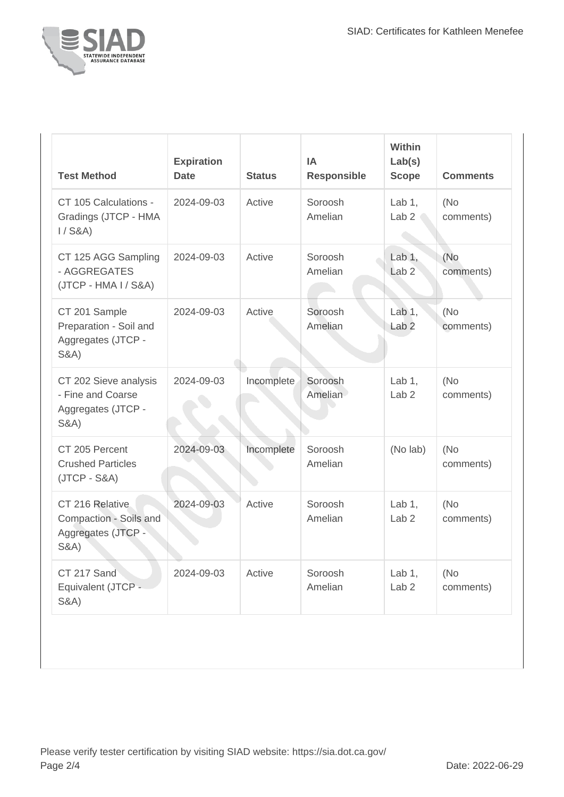

| <b>Test Method</b>                                                                  | <b>Expiration</b><br><b>Date</b> | <b>Status</b> | IA<br><b>Responsible</b> | Within<br>Lab(s)<br><b>Scope</b> | <b>Comments</b>   |
|-------------------------------------------------------------------------------------|----------------------------------|---------------|--------------------------|----------------------------------|-------------------|
| CT 105 Calculations -<br>Gradings (JTCP - HMA<br>$1/$ S&A)                          | 2024-09-03                       | Active        | Soroosh<br>Amelian       | Lab $1$ ,<br>Lab <sub>2</sub>    | (No)<br>comments) |
| CT 125 AGG Sampling<br>- AGGREGATES<br>(JTCP - HMA I / S&A)                         | 2024-09-03                       | Active        | Soroosh<br>Amelian       | Lab $1,$<br>Lab <sub>2</sub>     | (No<br>comments)  |
| CT 201 Sample<br>Preparation - Soil and<br>Aggregates (JTCP -<br><b>S&amp;A)</b>    | 2024-09-03                       | Active        | Soroosh<br>Amelian       | Lab $1,$<br>Lab <sub>2</sub>     | (No)<br>comments) |
| CT 202 Sieve analysis<br>- Fine and Coarse<br>Aggregates (JTCP -<br><b>S&amp;A)</b> | 2024-09-03                       | Incomplete    | Soroosh<br>Amelian       | Lab $1,$<br>Lab <sub>2</sub>     | (No)<br>comments) |
| CT 205 Percent<br><b>Crushed Particles</b><br>$(JTCP - S&A)$                        | 2024-09-03                       | Incomplete    | Soroosh<br>Amelian       | (No lab)                         | (No)<br>comments) |
| CT 216 Relative<br>Compaction - Soils and<br>Aggregates (JTCP -<br><b>S&amp;A)</b>  | 2024-09-03                       | Active        | Soroosh<br>Amelian       | Lab $1$ ,<br>Lab <sub>2</sub>    | (No<br>comments)  |
| CT 217 Sand<br>Equivalent (JTCP -<br><b>S&amp;A)</b>                                | 2024-09-03                       | Active        | Soroosh<br>Amelian       | Lab $1,$<br>Lab <sub>2</sub>     | (No<br>comments)  |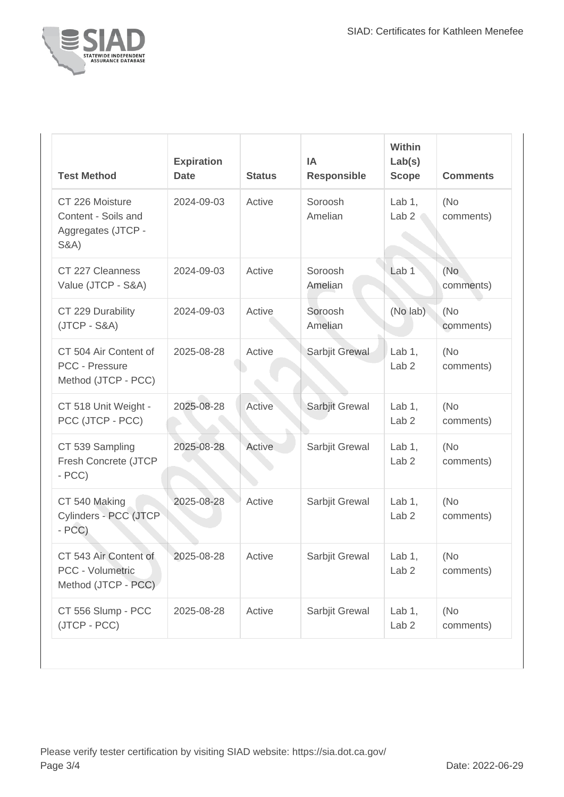

| <b>Test Method</b>                                                              | <b>Expiration</b><br><b>Date</b> | <b>Status</b> | IA<br><b>Responsible</b> | Within<br>Lab(s)<br><b>Scope</b> | <b>Comments</b>   |
|---------------------------------------------------------------------------------|----------------------------------|---------------|--------------------------|----------------------------------|-------------------|
| CT 226 Moisture<br>Content - Soils and<br>Aggregates (JTCP -<br><b>S&amp;A)</b> | 2024-09-03                       | Active        | Soroosh<br>Amelian       | Lab $1$ ,<br>Lab <sub>2</sub>    | (No<br>comments)  |
| CT 227 Cleanness<br>Value (JTCP - S&A)                                          | 2024-09-03                       | Active        | Soroosh<br>Amelian       | Lab <sub>1</sub>                 | (No<br>comments)  |
| CT 229 Durability<br>$(JTCP - S&A)$                                             | 2024-09-03                       | Active        | Soroosh<br>Amelian       | (No lab)                         | (No<br>comments)  |
| CT 504 Air Content of<br>PCC - Pressure<br>Method (JTCP - PCC)                  | 2025-08-28                       | Active        | Sarbjit Grewal           | Lab $1,$<br>Lab <sub>2</sub>     | (No<br>comments)  |
| CT 518 Unit Weight -<br>PCC (JTCP - PCC)                                        | 2025-08-28                       | Active        | Sarbjit Grewal           | Lab $1$ ,<br>Lab <sub>2</sub>    | (No<br>comments)  |
| CT 539 Sampling<br>Fresh Concrete (JTCP<br>$- PCC$                              | 2025-08-28                       | <b>Active</b> | Sarbjit Grewal           | Lab $1,$<br>Lab <sub>2</sub>     | (No<br>comments)  |
| CT 540 Making<br>Cylinders - PCC (JTCP<br>$- PCC$ )                             | 2025-08-28                       | Active        | Sarbjit Grewal           | Lab $1,$<br>Lab <sub>2</sub>     | (No)<br>comments) |
| CT 543 Air Content of<br>PCC - Volumetric<br>Method (JTCP - PCC)                | 2025-08-28                       | Active        | Sarbjit Grewal           | Lab $1,$<br>Lab <sub>2</sub>     | (No<br>comments)  |
| CT 556 Slump - PCC<br>(JTCP - PCC)                                              | 2025-08-28                       | Active        | Sarbjit Grewal           | Lab 1,<br>Lab <sub>2</sub>       | (No)<br>comments) |